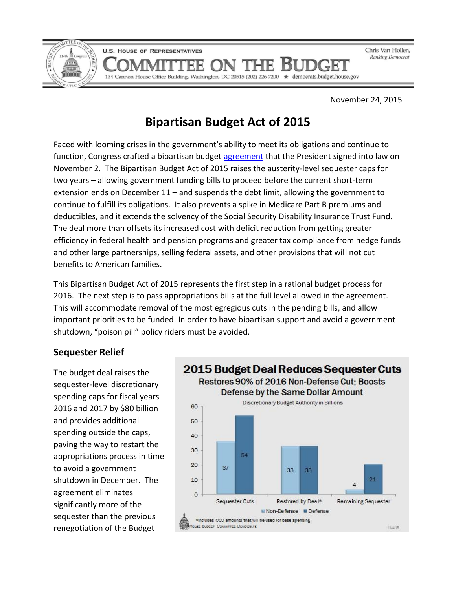

Chris Van Hollen, **Ranking Democrat** 

November 24, 2015

# **Bipartisan Budget Act of 2015**

134 Cannon House Office Building, Washington, DC 20515 (202) 226-7200 ★ democrats.budget.house.gov

R

Faced with looming crises in the government's ability to meet its obligations and continue to function, Congress crafted a bipartisan budget [agreement](https://www.congress.gov/114/bills/hr1314/BILLS-114hr1314enr.pdf) that the President signed into law on November 2. The Bipartisan Budget Act of 2015 raises the austerity-level sequester caps for two years – allowing government funding bills to proceed before the current short-term extension ends on December 11 – and suspends the debt limit, allowing the government to continue to fulfill its obligations. It also prevents a spike in Medicare Part B premiums and deductibles, and it extends the solvency of the Social Security Disability Insurance Trust Fund. The deal more than offsets its increased cost with deficit reduction from getting greater efficiency in federal health and pension programs and greater tax compliance from hedge funds and other large partnerships, selling federal assets, and other provisions that will not cut benefits to American families.

This Bipartisan Budget Act of 2015 represents the first step in a rational budget process for 2016. The next step is to pass appropriations bills at the full level allowed in the agreement. This will accommodate removal of the most egregious cuts in the pending bills, and allow important priorities to be funded. In order to have bipartisan support and avoid a government shutdown, "poison pill" policy riders must be avoided.

#### **Sequester Relief**

The budget deal raises the sequester-level discretionary spending caps for fiscal years 2016 and 2017 by \$80 billion and provides additional spending outside the caps, paving the way to restart the appropriations process in time to avoid a government shutdown in December. The agreement eliminates significantly more of the sequester than the previous renegotiation of the Budget

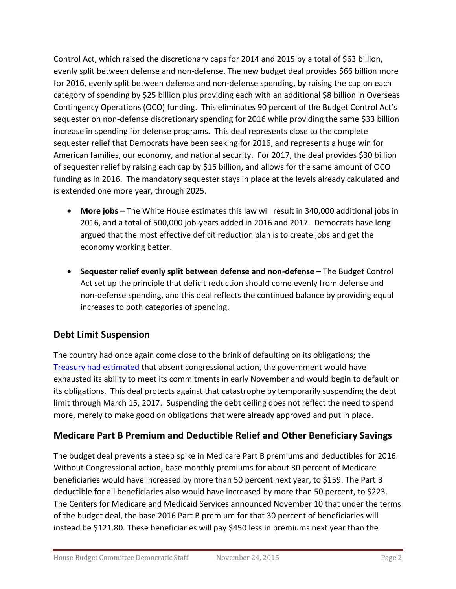Control Act, which raised the discretionary caps for 2014 and 2015 by a total of \$63 billion, evenly split between defense and non-defense. The new budget deal provides \$66 billion more for 2016, evenly split between defense and non-defense spending, by raising the cap on each category of spending by \$25 billion plus providing each with an additional \$8 billion in Overseas Contingency Operations (OCO) funding. This eliminates 90 percent of the Budget Control Act's sequester on non-defense discretionary spending for 2016 while providing the same \$33 billion increase in spending for defense programs. This deal represents close to the complete sequester relief that Democrats have been seeking for 2016, and represents a huge win for American families, our economy, and national security. For 2017, the deal provides \$30 billion of sequester relief by raising each cap by \$15 billion, and allows for the same amount of OCO funding as in 2016. The mandatory sequester stays in place at the levels already calculated and is extended one more year, through 2025.

- **More jobs** The White House estimates this law will result in 340,000 additional jobs in 2016, and a total of 500,000 job-years added in 2016 and 2017. Democrats have long argued that the most effective deficit reduction plan is to create jobs and get the economy working better.
- **Sequester relief evenly split between defense and non-defense**  The Budget Control Act set up the principle that deficit reduction should come evenly from defense and non-defense spending, and this deal reflects the continued balance by providing equal increases to both categories of spending.

## **Debt Limit Suspension**

The country had once again come close to the brink of defaulting on its obligations; the [Treasury had estimated](http://www.treasury.gov/connect/blog/Pages/Treasury-Sends-October-Debt-Limit-Letter-to-Congress.aspx) that absent congressional action, the government would have exhausted its ability to meet its commitments in early November and would begin to default on its obligations. This deal protects against that catastrophe by temporarily suspending the debt limit through March 15, 2017. Suspending the debt ceiling does not reflect the need to spend more, merely to make good on obligations that were already approved and put in place.

### **Medicare Part B Premium and Deductible Relief and Other Beneficiary Savings**

The budget deal prevents a steep spike in Medicare Part B premiums and deductibles for 2016. Without Congressional action, base monthly premiums for about 30 percent of Medicare beneficiaries would have increased by more than 50 percent next year, to \$159. The Part B deductible for all beneficiaries also would have increased by more than 50 percent, to \$223. The Centers for Medicare and Medicaid Services announced November 10 that under the terms of the budget deal, the base 2016 Part B premium for that 30 percent of beneficiaries will instead be \$121.80. These beneficiaries will pay \$450 less in premiums next year than the